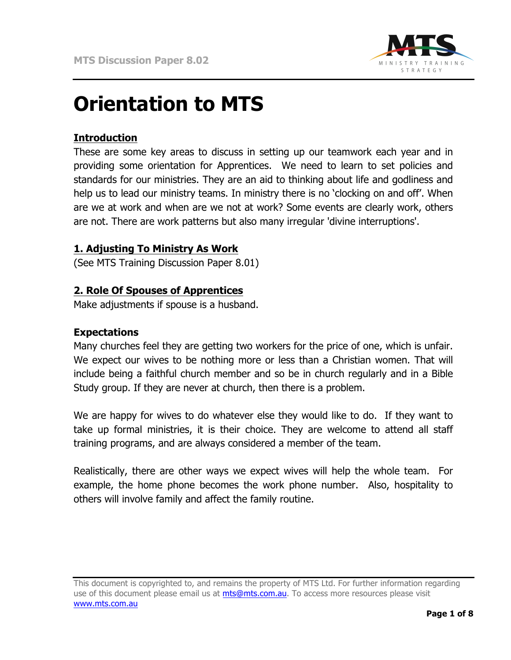

# **Orientation to MTS**

# **Introduction**

These are some key areas to discuss in setting up our teamwork each year and in providing some orientation for Apprentices. We need to learn to set policies and standards for our ministries. They are an aid to thinking about life and godliness and help us to lead our ministry teams. In ministry there is no 'clocking on and off'. When are we at work and when are we not at work? Some events are clearly work, others are not. There are work patterns but also many irregular 'divine interruptions'.

## **1. Adjusting To Ministry As Work**

(See MTS Training Discussion Paper 8.01)

#### **2. Role Of Spouses of Apprentices**

Make adjustments if spouse is a husband.

#### **Expectations**

Many churches feel they are getting two workers for the price of one, which is unfair. We expect our wives to be nothing more or less than a Christian women. That will include being a faithful church member and so be in church regularly and in a Bible Study group. If they are never at church, then there is a problem.

We are happy for wives to do whatever else they would like to do. If they want to take up formal ministries, it is their choice. They are welcome to attend all staff training programs, and are always considered a member of the team.

Realistically, there are other ways we expect wives will help the whole team. For example, the home phone becomes the work phone number. Also, hospitality to others will involve family and affect the family routine.

This document is copyrighted to, and remains the property of MTS Ltd. For further information regarding use of this document please email us at mts@mts.com.au. To access more resources please visit www.mts.com.au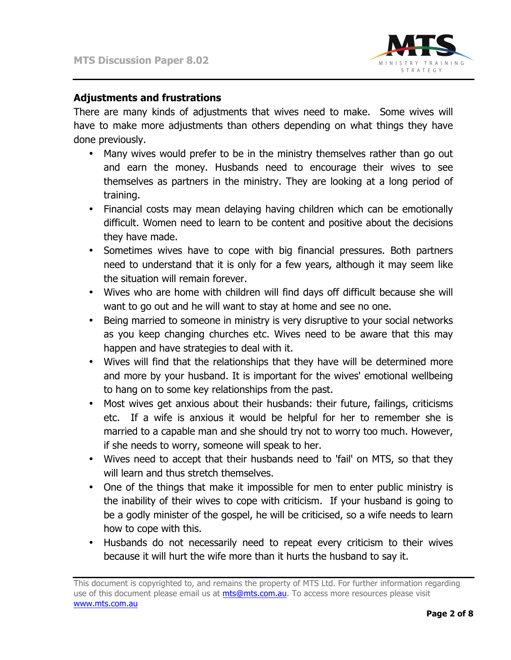

### **Adjustments and frustrations**

There are many kinds of adjustments that wives need to make. Some wives will have to make more adjustments than others depending on what things they have done previously.

- Many wives would prefer to be in the ministry themselves rather than go out and earn the money. Husbands need to encourage their wives to see themselves as partners in the ministry. They are looking at a long period of training.
- Financial costs may mean delaying having children which can be emotionally difficult. Women need to learn to be content and positive about the decisions they have made.
- Sometimes wives have to cope with big financial pressures. Both partners need to understand that it is only for a few years, although it may seem like the situation will remain forever.
- Wives who are home with children will find days off difficult because she will want to go out and he will want to stay at home and see no one.
- Being married to someone in ministry is very disruptive to your social networks as you keep changing churches etc. Wives need to be aware that this may happen and have strategies to deal with it.
- Wives will find that the relationships that they have will be determined more and more by your husband. It is important for the wives' emotional wellbeing to hang on to some key relationships from the past.
- Most wives get anxious about their husbands: their future, failings, criticisms etc. If a wife is anxious it would be helpful for her to remember she is married to a capable man and she should try not to worry too much. However, if she needs to worry, someone will speak to her.
- Wives need to accept that their husbands need to 'fail' on MTS, so that they will learn and thus stretch themselves.
- One of the things that make it impossible for men to enter public ministry is the inability of their wives to cope with criticism. If your husband is going to be a godly minister of the gospel, he will be criticised, so a wife needs to learn how to cope with this.
- Husbands do not necessarily need to repeat every criticism to their wives because it will hurt the wife more than it hurts the husband to say it.

This document is copyrighted to, and remains the property of MTS Ltd. For further information regarding use of this document please email us at mts@mts.com.au. To access more resources please visit www.mts.com.au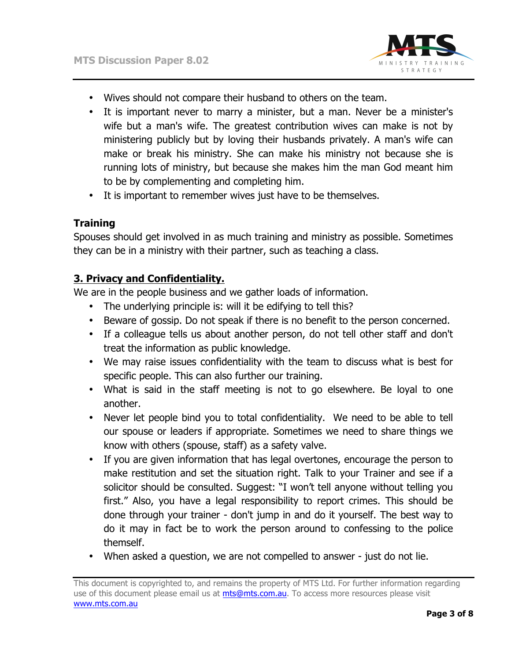

- Wives should not compare their husband to others on the team.
- It is important never to marry a minister, but a man. Never be a minister's wife but a man's wife. The greatest contribution wives can make is not by ministering publicly but by loving their husbands privately. A man's wife can make or break his ministry. She can make his ministry not because she is running lots of ministry, but because she makes him the man God meant him to be by complementing and completing him.
- It is important to remember wives just have to be themselves.

# **Training**

Spouses should get involved in as much training and ministry as possible. Sometimes they can be in a ministry with their partner, such as teaching a class.

# **3. Privacy and Confidentiality.**

We are in the people business and we gather loads of information.

- The underlying principle is: will it be edifying to tell this?
- Beware of gossip. Do not speak if there is no benefit to the person concerned.
- If a colleague tells us about another person, do not tell other staff and don't treat the information as public knowledge.
- We may raise issues confidentiality with the team to discuss what is best for specific people. This can also further our training.
- What is said in the staff meeting is not to go elsewhere. Be loyal to one another.
- Never let people bind you to total confidentiality. We need to be able to tell our spouse or leaders if appropriate. Sometimes we need to share things we know with others (spouse, staff) as a safety valve.
- If you are given information that has legal overtones, encourage the person to make restitution and set the situation right. Talk to your Trainer and see if a solicitor should be consulted. Suggest: "I won't tell anyone without telling you first." Also, you have a legal responsibility to report crimes. This should be done through your trainer - don't jump in and do it yourself. The best way to do it may in fact be to work the person around to confessing to the police themself.
- When asked a question, we are not compelled to answer just do not lie.

This document is copyrighted to, and remains the property of MTS Ltd. For further information regarding use of this document please email us at mts@mts.com.au. To access more resources please visit www.mts.com.au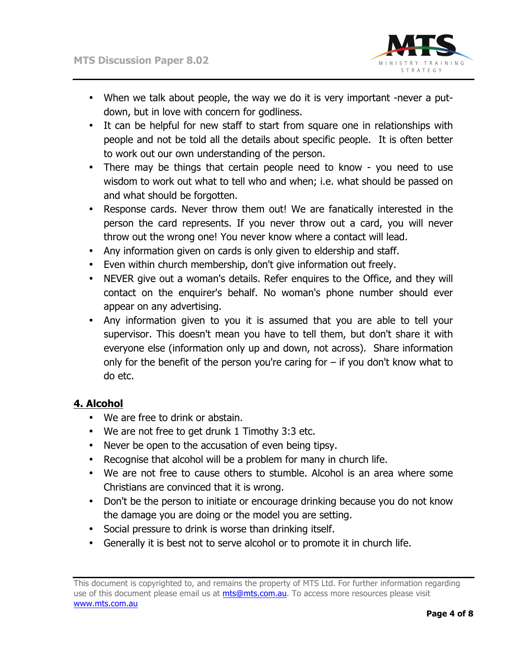

- When we talk about people, the way we do it is very important -never a putdown, but in love with concern for godliness.
- It can be helpful for new staff to start from square one in relationships with people and not be told all the details about specific people. It is often better to work out our own understanding of the person.
- There may be things that certain people need to know you need to use wisdom to work out what to tell who and when; i.e. what should be passed on and what should be forgotten.
- Response cards. Never throw them out! We are fanatically interested in the person the card represents. If you never throw out a card, you will never throw out the wrong one! You never know where a contact will lead.
- Any information given on cards is only given to eldership and staff.
- Even within church membership, don't give information out freely.
- NEVER give out a woman's details. Refer enquires to the Office, and they will contact on the enquirer's behalf. No woman's phone number should ever appear on any advertising.
- Any information given to you it is assumed that you are able to tell your supervisor. This doesn't mean you have to tell them, but don't share it with everyone else (information only up and down, not across). Share information only for the benefit of the person you're caring for  $-$  if you don't know what to do etc.

# **4. Alcohol**

- We are free to drink or abstain.
- We are not free to get drunk 1 Timothy 3:3 etc.
- Never be open to the accusation of even being tipsy.
- Recognise that alcohol will be a problem for many in church life.
- We are not free to cause others to stumble. Alcohol is an area where some Christians are convinced that it is wrong.
- Don't be the person to initiate or encourage drinking because you do not know the damage you are doing or the model you are setting.
- Social pressure to drink is worse than drinking itself.
- Generally it is best not to serve alcohol or to promote it in church life.

This document is copyrighted to, and remains the property of MTS Ltd. For further information regarding use of this document please email us at mts@mts.com.au. To access more resources please visit www.mts.com.au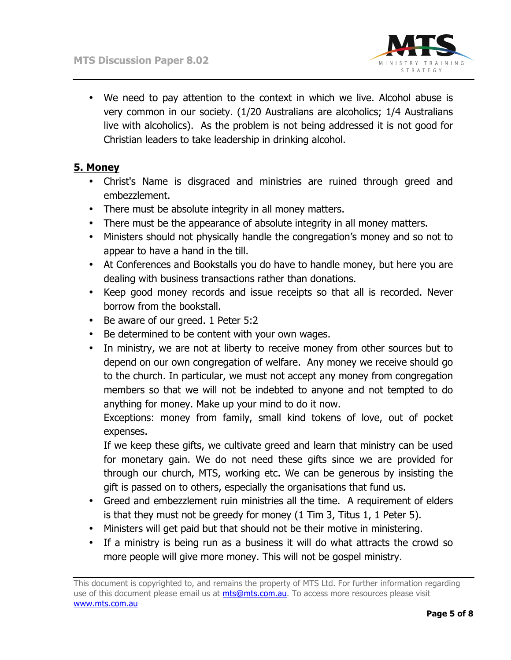

• We need to pay attention to the context in which we live. Alcohol abuse is very common in our society. (1/20 Australians are alcoholics; 1/4 Australians live with alcoholics). As the problem is not being addressed it is not good for Christian leaders to take leadership in drinking alcohol.

## **5. Money**

- Christ's Name is disgraced and ministries are ruined through greed and embezzlement.
- There must be absolute integrity in all money matters.
- There must be the appearance of absolute integrity in all money matters.
- Ministers should not physically handle the congregation's money and so not to appear to have a hand in the till.
- At Conferences and Bookstalls you do have to handle money, but here you are dealing with business transactions rather than donations.
- Keep good money records and issue receipts so that all is recorded. Never borrow from the bookstall.
- Be aware of our greed. 1 Peter 5:2
- Be determined to be content with your own wages.
- In ministry, we are not at liberty to receive money from other sources but to depend on our own congregation of welfare. Any money we receive should go to the church. In particular, we must not accept any money from congregation members so that we will not be indebted to anyone and not tempted to do anything for money. Make up your mind to do it now.

Exceptions: money from family, small kind tokens of love, out of pocket expenses.

If we keep these gifts, we cultivate greed and learn that ministry can be used for monetary gain. We do not need these gifts since we are provided for through our church, MTS, working etc. We can be generous by insisting the gift is passed on to others, especially the organisations that fund us.

- Greed and embezzlement ruin ministries all the time. A requirement of elders is that they must not be greedy for money (1 Tim 3, Titus 1, 1 Peter 5).
- Ministers will get paid but that should not be their motive in ministering.
- If a ministry is being run as a business it will do what attracts the crowd so more people will give more money. This will not be gospel ministry.

This document is copyrighted to, and remains the property of MTS Ltd. For further information regarding use of this document please email us at mts@mts.com.au. To access more resources please visit www.mts.com.au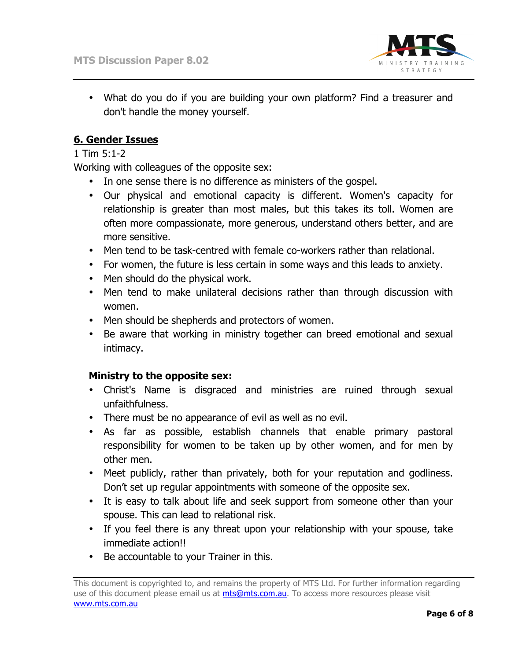

• What do you do if you are building your own platform? Find a treasurer and don't handle the money yourself.

# **6. Gender Issues**

#### 1 Tim 5:1-2

Working with colleagues of the opposite sex:

- In one sense there is no difference as ministers of the gospel.
- Our physical and emotional capacity is different. Women's capacity for relationship is greater than most males, but this takes its toll. Women are often more compassionate, more generous, understand others better, and are more sensitive.
- Men tend to be task-centred with female co-workers rather than relational.
- For women, the future is less certain in some ways and this leads to anxiety.
- Men should do the physical work.
- Men tend to make unilateral decisions rather than through discussion with women.
- Men should be shepherds and protectors of women.
- Be aware that working in ministry together can breed emotional and sexual intimacy.

#### **Ministry to the opposite sex:**

- Christ's Name is disgraced and ministries are ruined through sexual unfaithfulness.
- There must be no appearance of evil as well as no evil.
- As far as possible, establish channels that enable primary pastoral responsibility for women to be taken up by other women, and for men by other men.
- Meet publicly, rather than privately, both for your reputation and godliness. Don't set up regular appointments with someone of the opposite sex.
- It is easy to talk about life and seek support from someone other than your spouse. This can lead to relational risk.
- If you feel there is any threat upon your relationship with your spouse, take immediate action!!
- Be accountable to your Trainer in this.

This document is copyrighted to, and remains the property of MTS Ltd. For further information regarding use of this document please email us at mts@mts.com.au. To access more resources please visit www.mts.com.au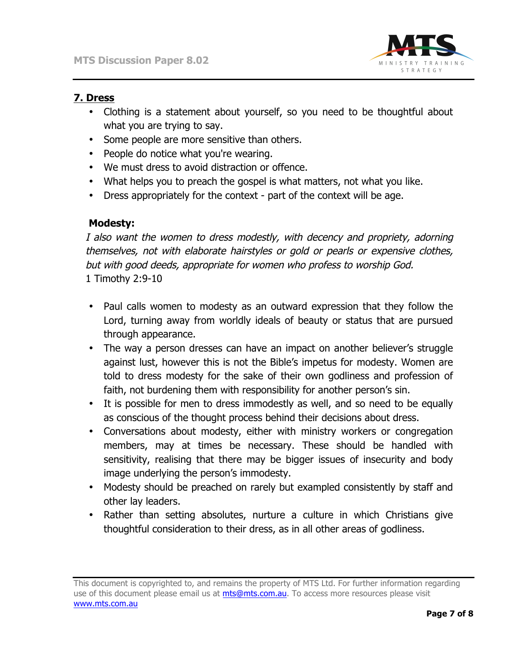

# **7. Dress**

- Clothing is a statement about yourself, so you need to be thoughtful about what you are trying to say.
- Some people are more sensitive than others.
- People do notice what you're wearing.
- We must dress to avoid distraction or offence.
- What helps you to preach the gospel is what matters, not what you like.
- Dress appropriately for the context part of the context will be age.

## **Modesty:**

I also want the women to dress modestly, with decency and propriety, adorning themselves, not with elaborate hairstyles or gold or pearls or expensive clothes, but with good deeds, appropriate for women who profess to worship God. 1 Timothy 2:9-10

- Paul calls women to modesty as an outward expression that they follow the Lord, turning away from worldly ideals of beauty or status that are pursued through appearance.
- The way a person dresses can have an impact on another believer's struggle against lust, however this is not the Bible's impetus for modesty. Women are told to dress modesty for the sake of their own godliness and profession of faith, not burdening them with responsibility for another person's sin.
- It is possible for men to dress immodestly as well, and so need to be equally as conscious of the thought process behind their decisions about dress.
- Conversations about modesty, either with ministry workers or congregation members, may at times be necessary. These should be handled with sensitivity, realising that there may be bigger issues of insecurity and body image underlying the person's immodesty.
- Modesty should be preached on rarely but exampled consistently by staff and other lay leaders.
- Rather than setting absolutes, nurture a culture in which Christians give thoughtful consideration to their dress, as in all other areas of godliness.

This document is copyrighted to, and remains the property of MTS Ltd. For further information regarding use of this document please email us at mts@mts.com.au. To access more resources please visit www.mts.com.au